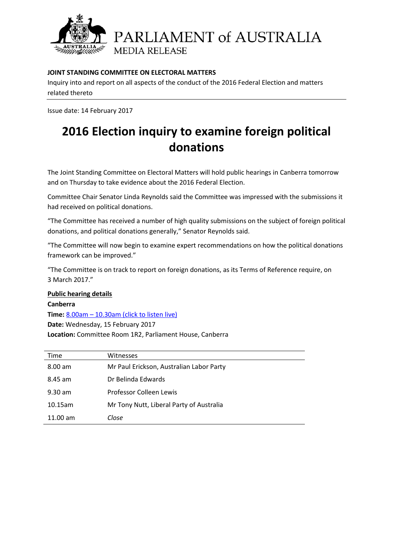

PARLIAMENT of AUSTRALIA **MEDIA RELEASE** 

### **JOINT STANDING COMMITTEE ON ELECTORAL MATTERS**

Inquiry into and report on all aspects of the conduct of the 2016 Federal Election and matters related thereto

Issue date: 14 February 2017

# **2016 Election inquiry to examine foreign political donations**

The Joint Standing Committee on Electoral Matters will hold public hearings in Canberra tomorrow and on Thursday to take evidence about the 2016 Federal Election.

Committee Chair Senator Linda Reynolds said the Committee was impressed with the submissions it had received on political donations.

"The Committee has received a number of high quality submissions on the subject of foreign political donations, and political donations generally," Senator Reynolds said.

"The Committee will now begin to examine expert recommendations on how the political donations framework can be improved."

"The Committee is on track to report on foreign donations, as its Terms of Reference require, on 3 March 2017."

**Public hearing details Canberra Time:** 8.00am – [10.30am \(click to listen live\)](http://www.aph.gov.au/Watch_Read_Listen) **Date:** Wednesday, 15 February 2017 **Location:** Committee Room 1R2, Parliament House, Canberra

| Time              | Witnesses                                |
|-------------------|------------------------------------------|
| $8.00 \text{ am}$ | Mr Paul Erickson, Australian Labor Party |
| $8.45$ am         | Dr Belinda Edwards                       |
| $9.30$ am         | Professor Colleen Lewis                  |
| $10.15$ am        | Mr Tony Nutt, Liberal Party of Australia |
| $11.00$ am        | Close                                    |